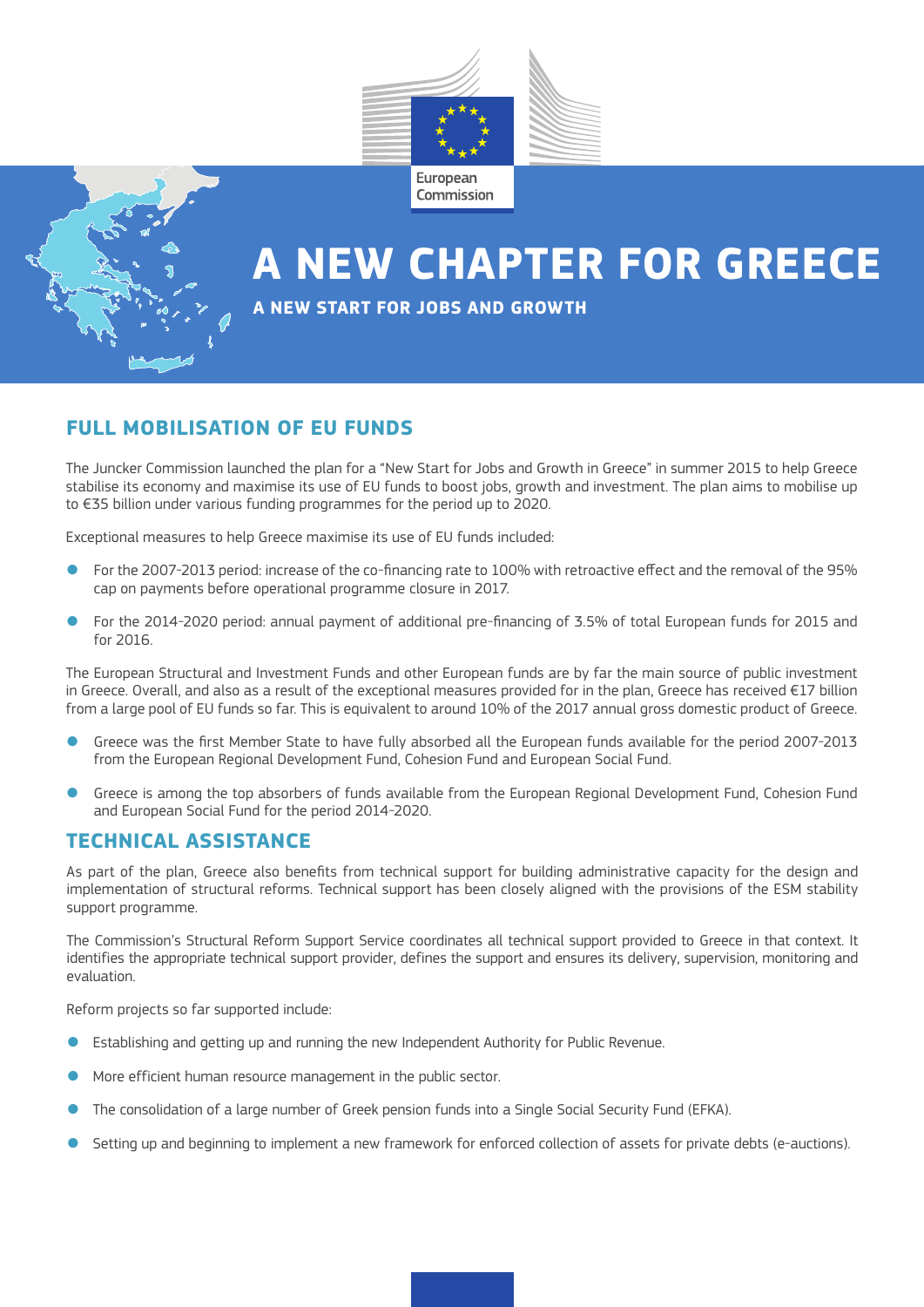

# **A NEW CHAPTER FOR GREECE**

#### **A NEW START FOR JOBS AND GROWTH**

## **FULL MOBILISATION OF EU FUNDS**

The Juncker Commission launched the plan for a "New Start for Jobs and Growth in Greece" in summer 2015 to help Greece stabilise its economy and maximise its use of EU funds to boost jobs, growth and investment. The plan aims to mobilise up to €35 billion under various funding programmes for the period up to 2020.

Exceptional measures to help Greece maximise its use of EU funds included:

- For the 2007-2013 period: increase of the co-financing rate to 100% with retroactive effect and the removal of the 95% cap on payments before operational programme closure in 2017.
- For the 2014-2020 period: annual payment of additional pre-financing of 3.5% of total European funds for 2015 and for 2016.

The European Structural and Investment Funds and other European funds are by far the main source of public investment in Greece. Overall, and also as a result of the exceptional measures provided for in the plan, Greece has received €17 billion from a large pool of EU funds so far. This is equivalent to around 10% of the 2017 annual gross domestic product of Greece.

- Greece was the first Member State to have fully absorbed all the European funds available for the period 2007-2013 from the European Regional Development Fund, Cohesion Fund and European Social Fund.
- Greece is among the top absorbers of funds available from the European Regional Development Fund, Cohesion Fund and European Social Fund for the period 2014-2020.

#### **TECHNICAL ASSISTANCE**

As part of the plan, Greece also benefits from technical support for building administrative capacity for the design and implementation of structural reforms. Technical support has been closely aligned with the provisions of the ESM stability support programme.

The Commission's Structural Reform Support Service coordinates all technical support provided to Greece in that context. It identifies the appropriate technical support provider, defines the support and ensures its delivery, supervision, monitoring and evaluation.

Reform projects so far supported include:

- Establishing and getting up and running the new Independent Authority for Public Revenue.
- More efficient human resource management in the public sector.
- The consolidation of a large number of Greek pension funds into a Single Social Security Fund (EFKA).
- Setting up and beginning to implement a new framework for enforced collection of assets for private debts (e-auctions).